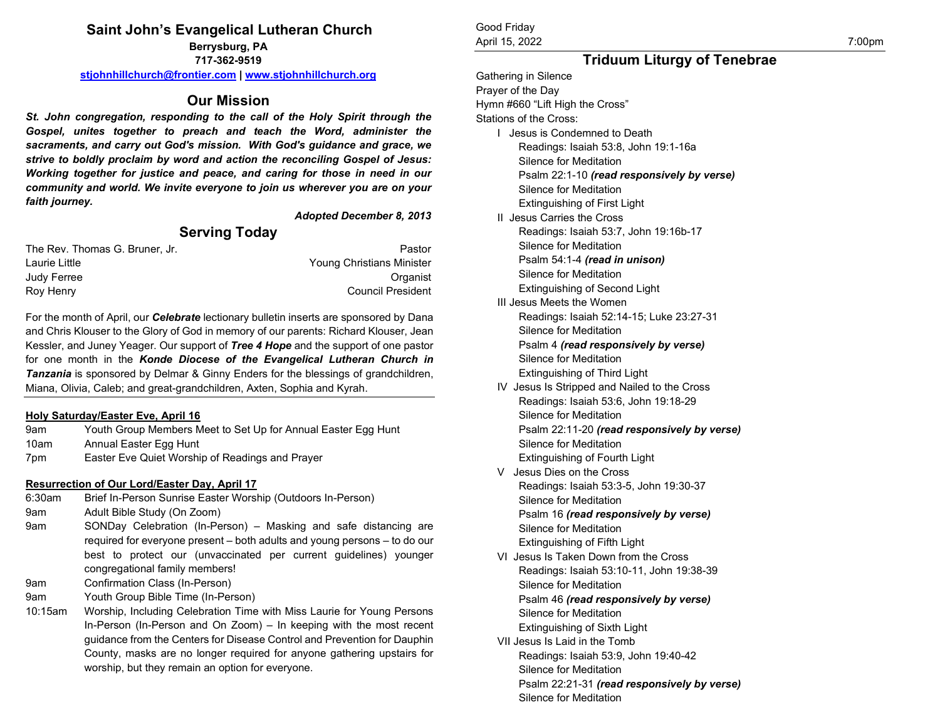#### **Saint John's Evangelical Lutheran Church Berrysburg, PA**

**717-362-9519 [stjohnhillchurch@frontier.com](mailto:stjohnhillchurch@frontier.com) [| www.stjohnhillchurch.org](http://www.stjohnhillchurch.org/)**

## **Our Mission**

*St. John congregation, responding to the call of the Holy Spirit through the Gospel, unites together to preach and teach the Word, administer the sacraments, and carry out God's mission. With God's guidance and grace, we strive to boldly proclaim by word and action the reconciling Gospel of Jesus: Working together for justice and peace, and caring for those in need in our community and world. We invite everyone to join us wherever you are on your faith journey.*

*Adopted December 8, 2013*

## **Serving Today**

| Pastor                           |
|----------------------------------|
| <b>Young Christians Minister</b> |
| Organist                         |
| <b>Council President</b>         |
|                                  |

For the month of April, our *Celebrate* lectionary bulletin inserts are sponsored by Dana and Chris Klouser to the Glory of God in memory of our parents: Richard Klouser, Jean Kessler, and Juney Yeager. Our support of *Tree 4 Hope* and the support of one pastor for one month in the *Konde Diocese of the Evangelical Lutheran Church in Tanzania* is sponsored by Delmar & Ginny Enders for the blessings of grandchildren, Miana, Olivia, Caleb; and great-grandchildren, Axten, Sophia and Kyrah.

#### **Holy Saturday/Easter Eve, April 16**

| 9am                      | Youth Group Members Meet to Set Up for Annual Easter Egg Hunt |
|--------------------------|---------------------------------------------------------------|
| 10am                     | Annual Easter Egg Hunt                                        |
| $\overline{\phantom{a}}$ |                                                               |

7pm Easter Eve Quiet Worship of Readings and Prayer

### **Resurrection of Our Lord/Easter Day, April 17**

- 6:30am Brief In-Person Sunrise Easter Worship (Outdoors In-Person)
- 9am Adult Bible Study (On Zoom)
- 9am SONDay Celebration (In-Person) Masking and safe distancing are required for everyone present – both adults and young persons – to do our best to protect our (unvaccinated per current guidelines) younger congregational family members!
- 9am Confirmation Class (In-Person)
- 9am Youth Group Bible Time (In-Person)
- 10:15am Worship, Including Celebration Time with Miss Laurie for Young Persons In-Person (In-Person and On Zoom) – In keeping with the most recent guidance from the Centers for Disease Control and Prevention for Dauphin County, masks are no longer required for anyone gathering upstairs for worship, but they remain an option for everyone.

#### Good Friday April 15, 2022 7:00pm

# **Triduum Liturgy of Tenebrae**

Gathering in Silence Prayer of the Day Hymn #660 "Lift High the Cross" Stations of the Cross: I Jesus is Condemned to Death Readings: Isaiah 53:8, John 19:1-16a Silence for Meditation Psalm 22:1-10 *(read responsively by verse)* Silence for Meditation Extinguishing of First Light II Jesus Carries the Cross Readings: Isaiah 53:7, John 19:16b-17 Silence for Meditation Psalm 54:1-4 *(read in unison)* Silence for Meditation Extinguishing of Second Light III Jesus Meets the Women Readings: Isaiah 52:14-15; Luke 23:27-31 Silence for Meditation Psalm 4 *(read responsively by verse)* Silence for Meditation Extinguishing of Third Light IV Jesus Is Stripped and Nailed to the Cross Readings: Isaiah 53:6, John 19:18-29 Silence for Meditation Psalm 22:11-20 *(read responsively by verse)* Silence for Meditation Extinguishing of Fourth Light V Jesus Dies on the Cross Readings: Isaiah 53:3-5, John 19:30-37 Silence for Meditation Psalm 16 *(read responsively by verse)* Silence for Meditation Extinguishing of Fifth Light VI Jesus Is Taken Down from the Cross Readings: Isaiah 53:10-11, John 19:38-39 Silence for Meditation Psalm 46 *(read responsively by verse)* Silence for Meditation Extinguishing of Sixth Light VII Jesus Is Laid in the Tomb Readings: Isaiah 53:9, John 19:40-42 Silence for Meditation Psalm 22:21-31 *(read responsively by verse)* Silence for Meditation